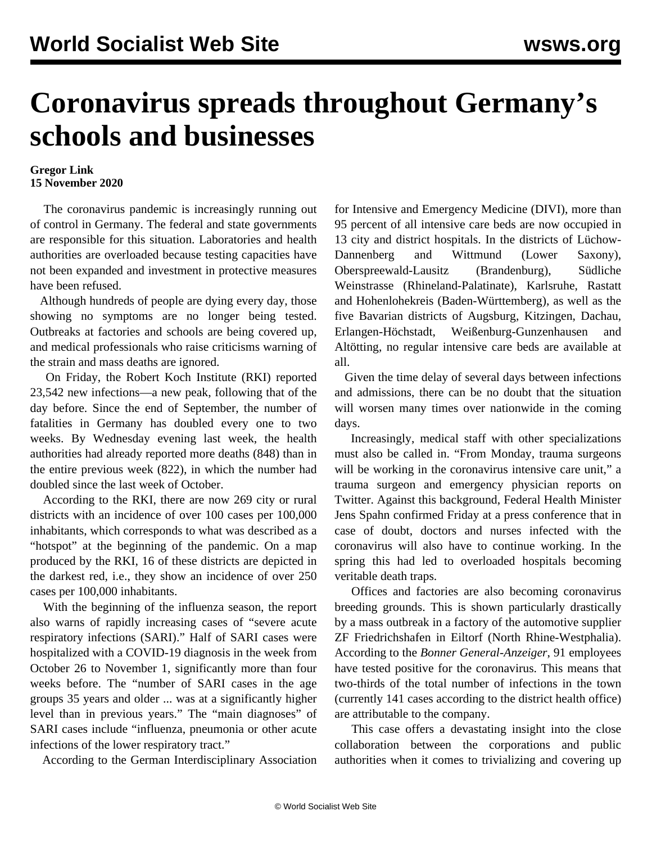## **Coronavirus spreads throughout Germany's schools and businesses**

## **Gregor Link 15 November 2020**

 The coronavirus pandemic is increasingly running out of control in Germany. The federal and state governments are responsible for this situation. Laboratories and health authorities are overloaded because testing capacities have not been expanded and investment in protective measures have been refused.

 Although hundreds of people are dying every day, those showing no symptoms are no longer being [tested.](/en/articles/2020/11/13/scho-n12.html) Outbreaks at factories and schools are being covered up, and medical professionals who raise criticisms warning of the strain and mass deaths are ignored.

 On Friday, the Robert Koch Institute (RKI) reported 23,542 new infections—a new peak, following that of the day before. Since the end of September, the number of fatalities in Germany has doubled every one to two weeks. By Wednesday evening last week, the health authorities had already reported more deaths (848) than in the entire previous week (822), in which the number had doubled since the last week of October.

 According to the RKI, there are now 269 city or rural districts with an incidence of over 100 cases per 100,000 inhabitants, which corresponds to what was described as a "hotspot" at the beginning of the pandemic. On a map produced by the RKI, 16 of these districts are depicted in the darkest red, i.e., they show an incidence of over 250 cases per 100,000 inhabitants.

 With the beginning of the influenza season, the report also warns of rapidly increasing cases of "severe acute respiratory infections (SARI)." Half of SARI cases were hospitalized with a COVID-19 diagnosis in the week from October 26 to November 1, significantly more than four weeks before. The "number of SARI cases in the age groups 35 years and older ... was at a significantly higher level than in previous years." The "main diagnoses" of SARI cases include "influenza, pneumonia or other acute infections of the lower respiratory tract."

According to the German Interdisciplinary Association

for Intensive and Emergency Medicine (DIVI), more than 95 percent of all intensive care beds are now occupied in 13 city and district hospitals. In the districts of Lüchow-Dannenberg and Wittmund (Lower Saxony), Oberspreewald-Lausitz (Brandenburg), Südliche Weinstrasse (Rhineland-Palatinate), Karlsruhe, Rastatt and Hohenlohekreis (Baden-Württemberg), as well as the five Bavarian districts of Augsburg, Kitzingen, Dachau, Erlangen-Höchstadt, Weißenburg-Gunzenhausen and Altötting, no regular intensive care beds are available at all.

 Given the time delay of several days between infections and admissions, there can be no doubt that the situation will worsen many times over nationwide in the coming days.

 Increasingly, medical staff with other specializations must also be called in. "From Monday, trauma surgeons will be working in the coronavirus intensive care unit," a trauma surgeon and emergency physician reports on Twitter. Against this background, Federal Health Minister Jens Spahn confirmed Friday at a press conference that in case of doubt, doctors and nurses infected with the coronavirus will also have to continue working. In the spring this had led to overloaded hospitals becoming veritable [death traps.](/en/articles/2020/03/28/euho-m28.html)

 Offices and factories are also becoming coronavirus breeding grounds. This is shown particularly drastically by a mass outbreak in a factory of the automotive supplier ZF Friedrichshafen in Eiltorf (North Rhine-Westphalia). According to the *Bonner General-Anzeiger*, 91 employees have tested positive for the coronavirus. This means that two-thirds of the total number of infections in the town (currently 141 cases according to the district health office) are attributable to the company.

 This case offers a devastating insight into the close collaboration between the corporations and public authorities when it comes to trivializing and covering up